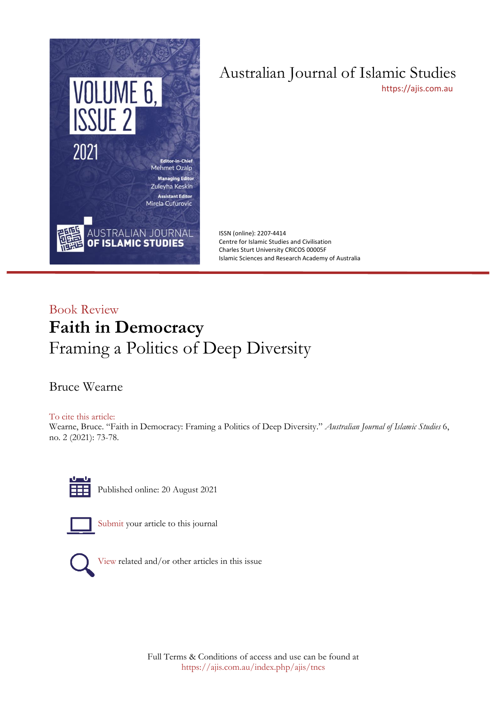

# Australian Journal of Islamic Studies

[https://ajis.com.au](https://ajis.com.au/)

ISSN (online): 2207-4414 Centre for Islamic Studies and Civilisation Charles Sturt University CRICOS 00005F Islamic Sciences and Research Academy of Australia

## Book Review **Faith in Democracy** Framing a Politics of Deep Diversity

Bruce Wearne

To cite this article:

Wearne, Bruce. "Faith in Democracy: Framing a Politics of Deep Diversity." *Australian Journal of Islamic Studies* 6, no. 2 (2021): 73-78.



Published online: 20 August 2021



[Submit](https://ajis.com.au/index.php/ajis/about/submissions) your article to this journal



[View](https://ajis.com.au/index.php/ajis/issue/view/29) related and/or other articles in this issue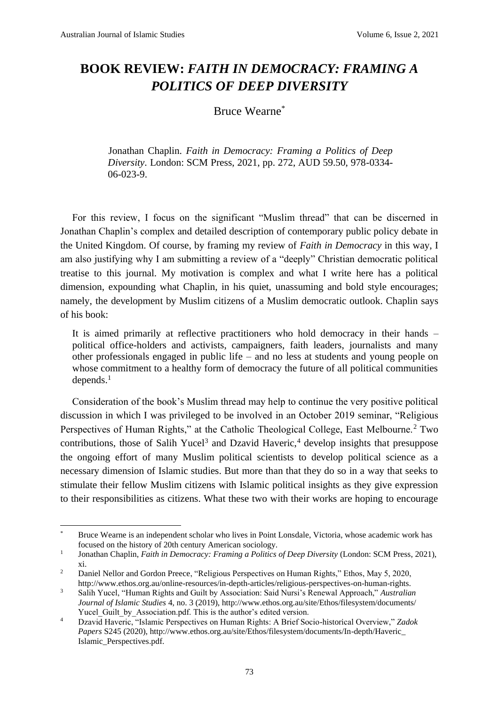## **BOOK REVIEW:** *FAITH IN DEMOCRACY: FRAMING A POLITICS OF DEEP DIVERSITY*

### Bruce Wearne\*

Jonathan Chaplin. *Faith in Democracy: Framing a Politics of Deep Diversity*. London: SCM Press, 2021, pp. 272, AUD 59.50, 978-0334- 06-023-9.

For this review, I focus on the significant "Muslim thread" that can be discerned in Jonathan Chaplin's complex and detailed description of contemporary public policy debate in the United Kingdom. Of course, by framing my review of *Faith in Democracy* in this way, I am also justifying why I am submitting a review of a "deeply" Christian democratic political treatise to this journal. My motivation is complex and what I write here has a political dimension, expounding what Chaplin, in his quiet, unassuming and bold style encourages; namely, the development by Muslim citizens of a Muslim democratic outlook. Chaplin says of his book:

It is aimed primarily at reflective practitioners who hold democracy in their hands – political office-holders and activists, campaigners, faith leaders, journalists and many other professionals engaged in public life – and no less at students and young people on whose commitment to a healthy form of democracy the future of all political communities depends.<sup>1</sup>

Consideration of the book's Muslim thread may help to continue the very positive political discussion in which I was privileged to be involved in an October 2019 seminar, "Religious Perspectives of Human Rights," at the Catholic Theological College, East Melbourne.<sup>2</sup> Two contributions, those of Salih Yucel<sup>3</sup> and Dzavid Haveric,<sup>4</sup> develop insights that presuppose the ongoing effort of many Muslim political scientists to develop political science as a necessary dimension of Islamic studies. But more than that they do so in a way that seeks to stimulate their fellow Muslim citizens with Islamic political insights as they give expression to their responsibilities as citizens. What these two with their works are hoping to encourage

<sup>\*</sup> Bruce Wearne is an independent scholar who lives in Point Lonsdale, Victoria, whose academic work has focused on the history of 20th century American sociology.

<sup>1</sup> Jonathan Chaplin, *Faith in Democracy: Framing a Politics of Deep Diversity* (London: SCM Press, 2021), xi.

<sup>&</sup>lt;sup>2</sup> Daniel Nellor and Gordon Preece, "Religious Perspectives on Human Rights," Ethos, May 5, 2020, http://www.ethos.org.au/online-resources/in-depth-articles/religious-perspectives-on-human-rights.

<sup>3</sup> Salih Yucel, "Human Rights and Guilt by Association: Said Nursi's Renewal Approach," *Australian Journal of Islamic Studies* 4, no. 3 (2019), http://www.ethos.org.au/site/Ethos/filesystem/documents/ Yucel Guilt by Association.pdf. This is the author's edited version.

<sup>4</sup> Dzavid Haveric, "Islamic Perspectives on Human Rights: A Brief Socio-historical Overview," *Zadok Papers* S245 (2020), http://www.ethos.org.au/site/Ethos/filesystem/documents/In-depth/Haveric\_ Islamic\_Perspectives.pdf.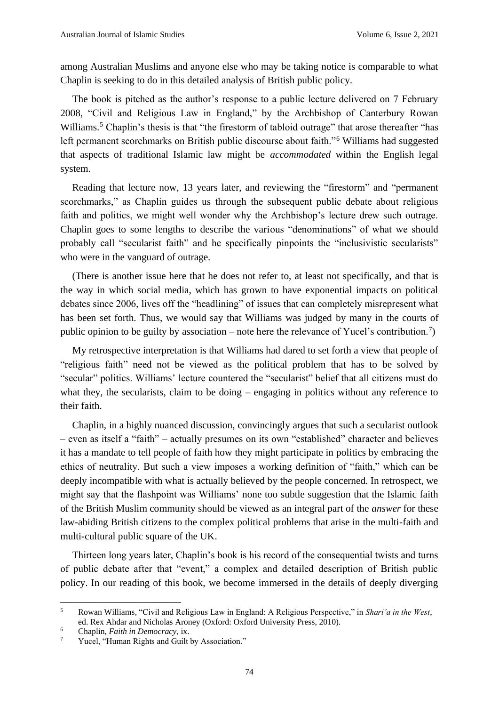among Australian Muslims and anyone else who may be taking notice is comparable to what Chaplin is seeking to do in this detailed analysis of British public policy.

The book is pitched as the author's response to a public lecture delivered on 7 February 2008, "Civil and Religious Law in England," by the Archbishop of Canterbury Rowan Williams.<sup>5</sup> Chaplin's thesis is that "the firestorm of tabloid outrage" that arose thereafter "has left permanent scorchmarks on British public discourse about faith."<sup>6</sup> Williams had suggested that aspects of traditional Islamic law might be *accommodated* within the English legal system.

Reading that lecture now, 13 years later, and reviewing the "firestorm" and "permanent scorchmarks," as Chaplin guides us through the subsequent public debate about religious faith and politics, we might well wonder why the Archbishop's lecture drew such outrage. Chaplin goes to some lengths to describe the various "denominations" of what we should probably call "secularist faith" and he specifically pinpoints the "inclusivistic secularists" who were in the vanguard of outrage.

(There is another issue here that he does not refer to, at least not specifically, and that is the way in which social media, which has grown to have exponential impacts on political debates since 2006, lives off the "headlining" of issues that can completely misrepresent what has been set forth. Thus, we would say that Williams was judged by many in the courts of public opinion to be guilty by association – note here the relevance of Yucel's contribution.<sup>7</sup>)

My retrospective interpretation is that Williams had dared to set forth a view that people of "religious faith" need not be viewed as the political problem that has to be solved by "secular" politics. Williams' lecture countered the "secularist" belief that all citizens must do what they, the secularists, claim to be doing – engaging in politics without any reference to their faith.

Chaplin, in a highly nuanced discussion, convincingly argues that such a secularist outlook – even as itself a "faith" – actually presumes on its own "established" character and believes it has a mandate to tell people of faith how they might participate in politics by embracing the ethics of neutrality. But such a view imposes a working definition of "faith," which can be deeply incompatible with what is actually believed by the people concerned. In retrospect, we might say that the flashpoint was Williams' none too subtle suggestion that the Islamic faith of the British Muslim community should be viewed as an integral part of the *answer* for these law-abiding British citizens to the complex political problems that arise in the multi-faith and multi-cultural public square of the UK.

Thirteen long years later, Chaplin's book is his record of the consequential twists and turns of public debate after that "event," a complex and detailed description of British public policy. In our reading of this book, we become immersed in the details of deeply diverging

<sup>5</sup> Rowan Williams, "Civil and Religious Law in England: A Religious Perspective," in *Shari'a in the West*, ed. Rex Ahdar and Nicholas Aroney (Oxford: Oxford University Press, 2010).

<sup>&</sup>lt;sup>6</sup> Chaplin, *Faith in Democracy*, ix.<br><sup>7</sup> Yucel "Human Rights and Guilt"

Yucel, "Human Rights and Guilt by Association."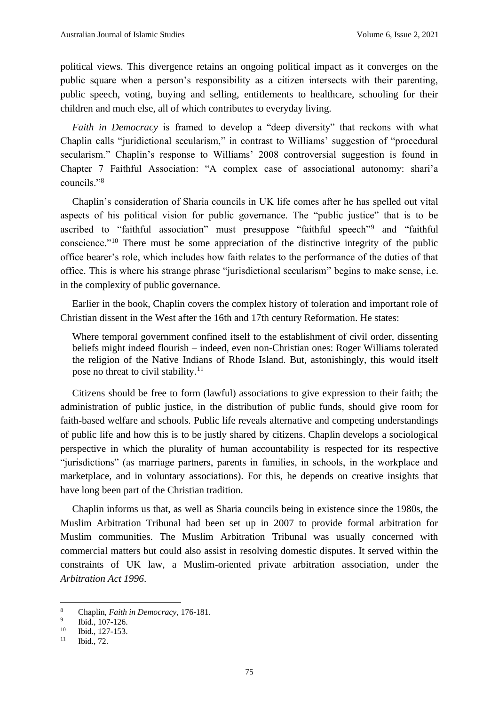political views. This divergence retains an ongoing political impact as it converges on the public square when a person's responsibility as a citizen intersects with their parenting, public speech, voting, buying and selling, entitlements to healthcare, schooling for their children and much else, all of which contributes to everyday living.

*Faith in Democracy* is framed to develop a "deep diversity" that reckons with what Chaplin calls "juridictional secularism," in contrast to Williams' suggestion of "procedural secularism." Chaplin's response to Williams' 2008 controversial suggestion is found in Chapter 7 Faithful Association: "A complex case of associational autonomy: shari'a councils."<sup>8</sup>

Chaplin's consideration of Sharia councils in UK life comes after he has spelled out vital aspects of his political vision for public governance. The "public justice" that is to be ascribed to "faithful association" must presuppose "faithful speech"<sup>9</sup> and "faithful conscience."<sup>10</sup> There must be some appreciation of the distinctive integrity of the public office bearer's role, which includes how faith relates to the performance of the duties of that office. This is where his strange phrase "jurisdictional secularism" begins to make sense, i.e. in the complexity of public governance.

Earlier in the book, Chaplin covers the complex history of toleration and important role of Christian dissent in the West after the 16th and 17th century Reformation. He states:

Where temporal government confined itself to the establishment of civil order, dissenting beliefs might indeed flourish – indeed, even non-Christian ones: Roger Williams tolerated the religion of the Native Indians of Rhode Island. But, astonishingly, this would itself pose no threat to civil stability.<sup>11</sup>

Citizens should be free to form (lawful) associations to give expression to their faith; the administration of public justice, in the distribution of public funds, should give room for faith-based welfare and schools. Public life reveals alternative and competing understandings of public life and how this is to be justly shared by citizens. Chaplin develops a sociological perspective in which the plurality of human accountability is respected for its respective "jurisdictions" (as marriage partners, parents in families, in schools, in the workplace and marketplace, and in voluntary associations). For this, he depends on creative insights that have long been part of the Christian tradition.

Chaplin informs us that, as well as Sharia councils being in existence since the 1980s, the Muslim Arbitration Tribunal had been set up in 2007 to provide formal arbitration for Muslim communities. The Muslim Arbitration Tribunal was usually concerned with commercial matters but could also assist in resolving domestic disputes. It served within the constraints of UK law, a Muslim-oriented private arbitration association, under the *Arbitration Act 1996*.

<sup>8</sup> Chaplin, *Faith in Democracy*, 176-181.

<sup>9</sup> Ibid., 107-126.

 $\frac{10}{11}$  Ibid., 127-153.

Ibid., 72.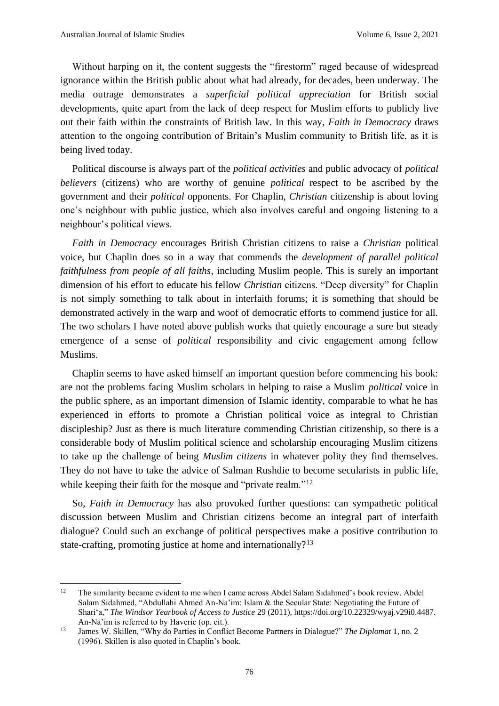Without harping on it, the content suggests the "firestorm" raged because of widespread ignorance within the British public about what had already, for decades, been underway. The media outrage demonstrates a *superficial political appreciation* for British social developments, quite apart from the lack of deep respect for Muslim efforts to publicly live out their faith within the constraints of British law. In this way, *Faith in Democracy* draws attention to the ongoing contribution of Britain's Muslim community to British life, as it is being lived today.

Political discourse is always part of the *political activities* and public advocacy of *political believers* (citizens) who are worthy of genuine *political* respect to be ascribed by the government and their *political* opponents. For Chaplin, *Christian* citizenship is about loving one's neighbour with public justice, which also involves careful and ongoing listening to a neighbour's political views.

*Faith in Democracy* encourages British Christian citizens to raise a *Christian* political voice, but Chaplin does so in a way that commends the *development of parallel political faithfulness from people of all faiths*, including Muslim people. This is surely an important dimension of his effort to educate his fellow *Christian* citizens. "Deep diversity" for Chaplin is not simply something to talk about in interfaith forums; it is something that should be demonstrated actively in the warp and woof of democratic efforts to commend justice for all. The two scholars I have noted above publish works that quietly encourage a sure but steady emergence of a sense of *political* responsibility and civic engagement among fellow Muslims.

Chaplin seems to have asked himself an important question before commencing his book: are not the problems facing Muslim scholars in helping to raise a Muslim *political* voice in the public sphere, as an important dimension of Islamic identity, comparable to what he has experienced in efforts to promote a Christian political voice as integral to Christian discipleship? Just as there is much literature commending Christian citizenship, so there is a considerable body of Muslim political science and scholarship encouraging Muslim citizens to take up the challenge of being *Muslim citizens* in whatever polity they find themselves. They do not have to take the advice of Salman Rushdie to become secularists in public life, while keeping their faith for the mosque and "private realm."<sup>12</sup>

So, *Faith in Democracy* has also provoked further questions: can sympathetic political discussion between Muslim and Christian citizens become an integral part of interfaith dialogue? Could such an exchange of political perspectives make a positive contribution to state-crafting, promoting justice at home and internationally?<sup>13</sup>

<sup>&</sup>lt;sup>12</sup> The similarity became evident to me when I came across Abdel Salam Sidahmed's book review. Abdel Salam Sidahmed, "Abdullahi Ahmed An-Na'im: Islam & the Secular State: Negotiating the Future of Shari'a," *The Windsor Yearbook of Access to Justice* 29 (2011), https://doi.org/10.22329/wyaj.v29i0.4487. An-Na'im is referred to by Haveric (op. cit.).

<sup>13</sup> James W. Skillen, "Why do Parties in Conflict Become Partners in Dialogue?" *The Diplomat* 1, no. 2 (1996). Skillen is also quoted in Chaplin's book.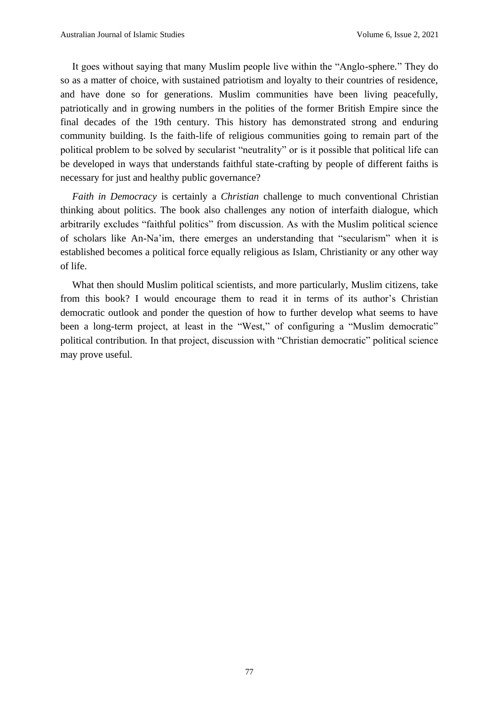It goes without saying that many Muslim people live within the "Anglo-sphere." They do so as a matter of choice, with sustained patriotism and loyalty to their countries of residence, and have done so for generations. Muslim communities have been living peacefully, patriotically and in growing numbers in the polities of the former British Empire since the final decades of the 19th century. This history has demonstrated strong and enduring community building. Is the faith-life of religious communities going to remain part of the political problem to be solved by secularist "neutrality" or is it possible that political life can be developed in ways that understands faithful state-crafting by people of different faiths is necessary for just and healthy public governance?

*Faith in Democracy* is certainly a *Christian* challenge to much conventional Christian thinking about politics. The book also challenges any notion of interfaith dialogue, which arbitrarily excludes "faithful politics" from discussion. As with the Muslim political science of scholars like An-Na'im, there emerges an understanding that "secularism" when it is established becomes a political force equally religious as Islam, Christianity or any other way of life.

What then should Muslim political scientists, and more particularly, Muslim citizens, take from this book? I would encourage them to read it in terms of its author's Christian democratic outlook and ponder the question of how to further develop what seems to have been a long-term project, at least in the "West," of configuring a "Muslim democratic" political contribution*.* In that project, discussion with "Christian democratic" political science may prove useful.